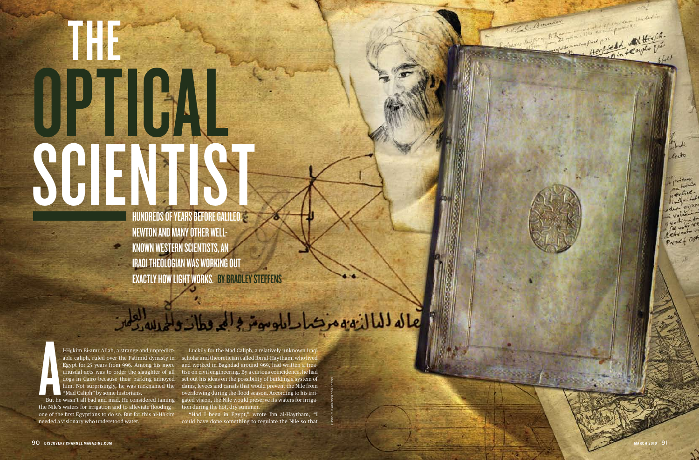# The Second OP TOAL SCIN the contract of the contract of the contract of the contract of the contract of the contract of the contract of the contract of the contract of the contract of the contract of the contract of the contract of the contract o ist<br>ist<br>ister

HUNDREDS OF YEARS BEFORE GALILEO, i<br>Sidney and the contract of the contract of the contract of the contract of the contract of the contract of the contract of the contract of the contract of the contract of the contract of the contract of the contract of t Newton and many other wellknown western scientists, an IRAQI THEOLOGIAN WAS WORKING OU o g o t EXACTLY HOW LIGHT WORKS. g

photo: The Granger Collec

z<br>F

But he<br>But he<br>he Nile's l-H ākim Bi-amr Allah, a strange and unpredict able caliph, ruled over the Fatimid dynasty in Egypt for 25 years from 996. Among his more unusual acts was to order the slaughter of all dogs in Cairo because their barking annoyed him. Not surprisingly, he was nicknamed the "Mad Caliph" by some historians.

the Nile's waters for irrigation and to alleviate flooding – one of the first Egyptians to do so. But for this al-H ākim needed a visionary who understood water.

But he wasn't all bad and mad. He considered taming gated vision, the Nile would preserve its waters for irriga - Luckily for the Mad Caliph, a relatively unknown Iraqi scholar and theoretician called Ibn al-Haytham, who lived and worked in Baghdad around 969, had written a trea tise on civil engineering. By a curious coincidence, he had set out his ideas on the possibility of building a system of dams, levees and canals that would prevent the Nile from overflowing during the flood season. According to his irri tion during the hot, dry summer.

> "Had I been in Egypt," wrote Ibn al-Haytham, "I could have done something to regulate the Nile so that

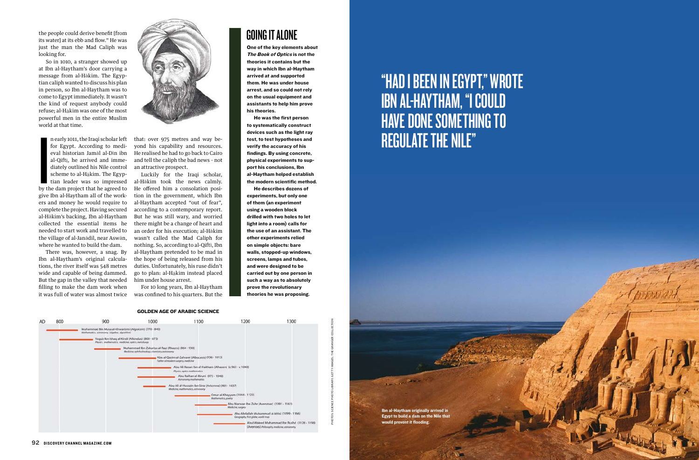

One of the key elements about The Book of Optics is not the theories it contains but the way in which Ibn al-Haytham arrived at and supported them. He was under house arrest, and so could not rely on the usual equipment and assistants to help him prove his theories.

He was the first person to systematically construct devices such as the light ray test, to test hypotheses and verify the accuracy of his findings. By using concrete, physical experiments to support his conclusions, Ibn al-Haytham helped establish the modern scientific method.



He describes dozens of experiments, but only one of them (an experiment using a wooden block drilled with two holes to let light into a room) calls for the use of an assistant. The other experiments relied on simple objects: bare walls, stopped-up windows, screens, lamps and tubes, and were designed to be carried out by one person in such a way as to absolutely prove the revolutionary theories he was proposing.

In the same of the same of the same of the same of the same of the same of the same of the same of the same of the same of the same of the same of the same of the same of the same of the same of the same of the same of the n early 1011, the Iraqi scholar left for Egypt. According to medieval historian Jamāl al-Dīn ibn al-Qiftī, he arrived and immediately outlined his Nile control scheme to al-Hākim. The Egyptian leader was so impressed by the dam project that he agreed to give Ibn al-Haytham all of the workers and money he would require to complete the project. Having secured al-Hākim's backing, Ibn al-Haytham collected the essential items he needed to start work and travelled to the village of al-Janādil, near Aswān, where he wanted to build the dam.

# "Had I been in Egypt," wrote Ibn al-Haytham, "I could **HAVE DONE SOMETHING TO** regulate the Nile"

the people could derive benefit [from its water] at its ebb and flow." He was just the man the Mad Caliph was looking for.

So in 1010, a stranger showed up at Ibn al-Haytham's door carrying a message from al-Hākim. The Egyptian caliph wanted to discuss his plan in person, so Ibn al-Haytham was to come to Egypt immediately. It wasn't the kind of request anybody could refuse; al-Hākim was one of the most powerful men in the entire Muslim world at that time.

There was, however, a snag. By Ibn al-Haytham's original calculations, the river itself was 548 metres wide and capable of being dammed. But the gap in the valley that needed filling to make the dam work when it was full of water was almost twice



that: over 975 metres and way beyond his capability and resources. He realised he had to go back to Cairo and tell the caliph the bad news – not an attractive prospect.

Luckily for the Iraqi scholar, al-Hākim took the news calmly. He offered him a consolation position in the government, which Ibn al-Haytham accepted "out of fear", according to a contemporary report. But he was still wary, and worried there might be a change of heart and an order for his execution; al-Hākim wasn't called the Mad Caliph for nothing. So, according to al-Qiftī, Ibn al-Haytham pretended to be mad in the hope of being released from his duties. Unfortunately, his ruse didn't go to plan: al-Hākim instead placed him under house arrest.

For 10 long years, Ibn al-Haytham was confined to his quarters. But the

## **GOING IT ALONE**

Ibn al-Haytham originally arrived in Egypt to build a dam on the Nile that would prevent it flooding.

**Continued Part of**